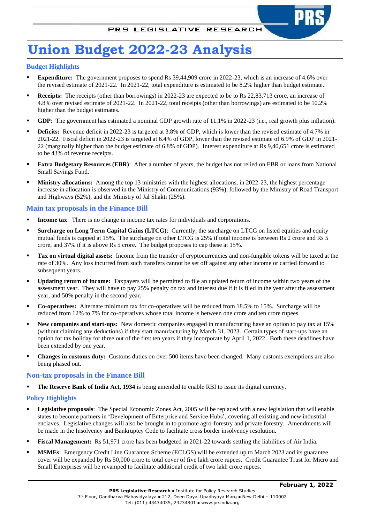# **Union Budget 2022-23 Analysis**

#### **Budget Highlights**

- **Expenditure:** The government proposes to spend Rs 39,44,909 crore in 2022-23, which is an increase of 4.6% over the revised estimate of 2021-22. In 2021-22, total expenditure is estimated to be 8.2% higher than budget estimate.
- **Receipts:** The receipts (other than borrowings) in 2022-23 are expected to be to Rs 22,83,713 crore, an increase of 4.8% over revised estimate of 2021-22. In 2021-22, total receipts (other than borrowings) are estimated to be 10.2% higher than the budget estimates.
- GDP: The government has estimated a nominal GDP growth rate of 11.1% in 2022-23 (i.e., real growth plus inflation).
- **Deficits:** Revenue deficit in 2022-23 is targeted at 3.8% of GDP, which is lower than the revised estimate of 4.7% in 2021-22. Fiscal deficit in 2022-23 is targeted at 6.4% of GDP, lower than the revised estimate of 6.9% of GDP in 2021- 22 (marginally higher than the budget estimate of 6.8% of GDP). Interest expenditure at Rs 9,40,651 crore is estimated to be 43% of revenue receipts.
- **Extra Budgetary Resources (EBR):** After a number of years, the budget has not relied on EBR or loans from National Small Savings Fund.
- **Ministry allocations:** Among the top 13 ministries with the highest allocations, in 2022-23, the highest percentage increase in allocation is observed in the Ministry of Communications (93%), followed by the Ministry of Road Transport and Highways (52%), and the Ministry of Jal Shakti (25%).

#### **Main tax proposals in the Finance Bill**

- **Income tax**: There is no change in income tax rates for individuals and corporations.
- **Surcharge on Long Term Capital Gains (LTCG):** Currently, the surcharge on LTCG on listed equities and equity mutual funds is capped at 15%. The surcharge on other LTCG is 25% if total income is between Rs 2 crore and Rs 5 crore, and 37% if it is above Rs 5 crore. The budget proposes to cap these at 15%.
- **Tax on virtual digital assets:** Income from the transfer of cryptocurrencies and non-fungible tokens will be taxed at the rate of 30%. Any loss incurred from such transfers cannot be set off against any other income or carried forward to subsequent years.
- **Updating return of income:** Taxpayers will be permitted to file an updated return of income within two years of the assessment year. They will have to pay 25% penalty on tax and interest due if it is filed in the year after the assessment year, and 50% penalty in the second year.
- **Co-operatives:** Alternate minimum tax for co-operatives will be reduced from 18.5% to 15%. Surcharge will be reduced from 12% to 7% for co-operatives whose total income is between one crore and ten crore rupees.
- **New companies and start-ups:** New domestic companies engaged in manufacturing have an option to pay tax at 15% (without claiming any deductions) if they start manufacturing by March 31, 2023. Certain types of start-ups have an option for tax holiday for three out of the first ten years if they incorporate by April 1, 2022. Both these deadlines have been extended by one year.
- **Changes in customs duty:** Customs duties on over 500 items have been changed. Many customs exemptions are also being phased out.

#### **Non-tax proposals in the Finance Bill**

**The Reserve Bank of India Act, 1934** is being amended to enable RBI to issue its digital currency.

#### **Policy Highlights**

- **Legislative proposals**: The Special Economic Zones Act, 2005 will be replaced with a new legislation that will enable states to become partners in 'Development of Enterprise and Service Hubs', covering all existing and new industrial enclaves. Legislative changes will also be brought in to promote agro-forestry and private forestry. Amendments will be made in the Insolvency and Bankruptcy Code to facilitate cross border insolvency resolution.
- **Fiscal Management:** Rs 51,971 crore has been budgeted in 2021-22 towards settling the liabilities of Air India.
- **MSMEs**: Emergency Credit Line Guarantee Scheme (ECLGS) will be extended up to March 2023 and its guarantee cover will be expanded by Rs 50,000 crore to total cover of five lakh crore rupees. Credit Guarantee Trust for Micro and Small Enterprises will be revamped to facilitate additional credit of two lakh crore rupees.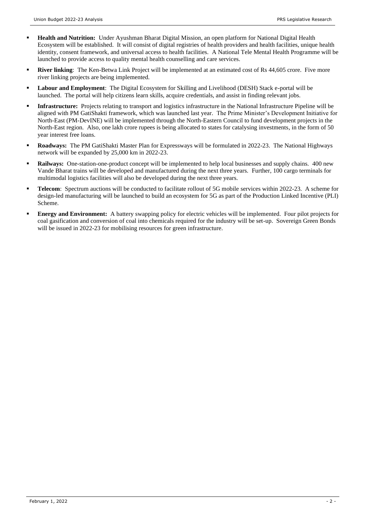- **Health and Nutrition:** Under Ayushman Bharat Digital Mission, an open platform for National Digital Health Ecosystem will be established. It will consist of digital registries of health providers and health facilities, unique health identity, consent framework, and universal access to health facilities. A National Tele Mental Health Programme will be launched to provide access to quality mental health counselling and care services.
- **River linking**: The Ken-Betwa Link Project will be implemented at an estimated cost of Rs 44,605 crore. Five more river linking projects are being implemented.
- **Labour and Employment**: The Digital Ecosystem for Skilling and Livelihood (DESH) Stack e-portal will be launched. The portal will help citizens learn skills, acquire credentials, and assist in finding relevant jobs.
- **Infrastructure:** Projects relating to transport and logistics infrastructure in the National Infrastructure Pipeline will be aligned with PM GatiShakti framework, which was launched last year. The Prime Minister's Development Initiative for North-East (PM-DevINE) will be implemented through the North-Eastern Council to fund development projects in the North-East region. Also, one lakh crore rupees is being allocated to states for catalysing investments, in the form of 50 year interest free loans.
- **Roadways:** The PM GatiShakti Master Plan for Expressways will be formulated in 2022-23. The National Highways network will be expanded by 25,000 km in 2022-23.
- **Railways:** One-station-one-product concept will be implemented to help local businesses and supply chains. 400 new Vande Bharat trains will be developed and manufactured during the next three years. Further, 100 cargo terminals for multimodal logistics facilities will also be developed during the next three years.
- **Telecom**: Spectrum auctions will be conducted to facilitate rollout of 5G mobile services within 2022-23. A scheme for design-led manufacturing will be launched to build an ecosystem for 5G as part of the Production Linked Incentive (PLI) Scheme.
- **Energy and Environment:** A battery swapping policy for electric vehicles will be implemented. Four pilot projects for coal gasification and conversion of coal into chemicals required for the industry will be set-up. Sovereign Green Bonds will be issued in 2022-23 for mobilising resources for green infrastructure.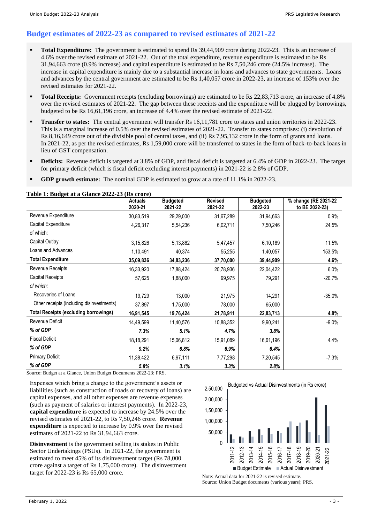### **Budget estimates of 2022-23 as compared to revised estimates of 2021-22**

- **Total Expenditure:** The government is estimated to spend Rs 39,44,909 crore during 2022-23. This is an increase of 4.6% over the revised estimate of 2021-22. Out of the total expenditure, revenue expenditure is estimated to be Rs 31,94,663 crore (0.9% increase) and capital expenditure is estimated to be Rs 7,50,246 crore (24.5% increase). The increase in capital expenditure is mainly due to a substantial increase in loans and advances to state governments. Loans and advances by the central government are estimated to be Rs 1,40,057 crore in 2022-23, an increase of 153% over the revised estimates for 2021-22.
- **Total Receipts:** Government receipts (excluding borrowings) are estimated to be Rs 22,83,713 crore, an increase of 4.8% over the revised estimates of 2021-22. The gap between these receipts and the expenditure will be plugged by borrowings, budgeted to be Rs 16,61,196 crore, an increase of 4.4% over the revised estimate of 2021-22.
- **Transfer to states:** The central government will transfer Rs 16,11,781 crore to states and union territories in 2022-23. This is a marginal increase of 0.5% over the revised estimates of 2021-22. Transfer to states comprises: (i) devolution of Rs 8,16,649 crore out of the divisible pool of central taxes, and (ii) Rs 7,95,132 crore in the form of grants and loans. In 2021-22, as per the revised estimates, Rs 1,59,000 crore will be transferred to states in the form of back-to-back loans in lieu of GST compensation.
- Deficits: Revenue deficit is targeted at 3.8% of GDP, and fiscal deficit is targeted at 6.4% of GDP in 2022-23. The target for primary deficit (which is fiscal deficit excluding interest payments) in 2021-22 is 2.8% of GDP.
- **GDP growth estimate:** The nominal GDP is estimated to grow at a rate of 11.1% in 2022-23.

#### **Table 1: Budget at a Glance 2022-23 (Rs crore)**

|                                              | <b>Actuals</b><br>2020-21 | <b>Budgeted</b><br>2021-22 | <b>Revised</b><br>2021-22 | <b>Budgeted</b><br>2022-23 | % change (RE 2021-22<br>to BE 2022-23) |
|----------------------------------------------|---------------------------|----------------------------|---------------------------|----------------------------|----------------------------------------|
| Revenue Expenditure                          | 30,83,519                 | 29,29,000                  | 31,67,289                 | 31,94,663                  | 0.9%                                   |
| Capital Expenditure                          | 4,26,317                  | 5,54,236                   | 6,02,711                  | 7,50,246                   | 24.5%                                  |
| of which:                                    |                           |                            |                           |                            |                                        |
| Capital Outlay                               | 3,15,826                  | 5,13,862                   | 5,47,457                  | 6,10,189                   | 11.5%                                  |
| Loans and Advances                           | 1,10,491                  | 40,374                     | 55,255                    | 1,40,057                   | 153.5%                                 |
| <b>Total Expenditure</b>                     | 35,09,836                 | 34,83,236                  | 37,70,000                 | 39,44,909                  | 4.6%                                   |
| Revenue Receipts                             | 16,33,920                 | 17,88,424                  | 20,78,936                 | 22,04,422                  | 6.0%                                   |
| Capital Receipts                             | 57,625                    | 1,88,000                   | 99,975                    | 79,291                     | $-20.7%$                               |
| of which:                                    |                           |                            |                           |                            |                                        |
| Recoveries of Loans                          | 19,729                    | 13,000                     | 21,975                    | 14,291                     | $-35.0%$                               |
| Other receipts (including disinvestments)    | 37,897                    | 1,75,000                   | 78,000                    | 65,000                     |                                        |
| <b>Total Receipts (excluding borrowings)</b> | 16,91,545                 | 19,76,424                  | 21,78,911                 | 22,83,713                  | 4.8%                                   |
| Revenue Deficit                              | 14,49,599                 | 11,40,576                  | 10,88,352                 | 9,90,241                   | $-9.0%$                                |
| % of GDP                                     | 7.3%                      | 5.1%                       | 4.7%                      | 3.8%                       |                                        |
| <b>Fiscal Deficit</b>                        | 18,18,291                 | 15,06,812                  | 15,91,089                 | 16,61,196                  | 4.4%                                   |
| % of GDP                                     | 9.2%                      | 6.8%                       | 6.9%                      | 6.4%                       |                                        |
| <b>Primary Deficit</b>                       | 11,38,422                 | 6,97,111                   | 7,77,298                  | 7,20,545                   | $-7.3%$                                |
| % of GDP                                     | 5.8%                      | 3.1%                       | 3.3%                      | 2.8%                       |                                        |

Source: Budget at a Glance, Union Budget Documents 2022-23; PRS.

Expenses which bring a change to the government's assets or liabilities (such as construction of roads or recovery of loans) are capital expenses, and all other expenses are revenue expenses (such as payment of salaries or interest payments). In 2022-23, **capital expenditure** is expected to increase by 24.5% over the revised estimates of 2021-22, to Rs 7,50,246 crore. **Revenue expenditure** is expected to increase by 0.9% over the revised estimates of 2021-22 to Rs 31,94,663 crore.

**Disinvestment** is the government selling its stakes in Public Sector Undertakings (PSUs). In 2021-22, the government is estimated to meet 45% of its disinvestment target (Rs 78,000 crore against a target of Rs 1,75,000 crore). The disinvestment target for 2022-23 is Rs 65,000 crore.



Note: Actual data for 2021-22 is revised estimate. Source: Union Budget documents (various years); PRS.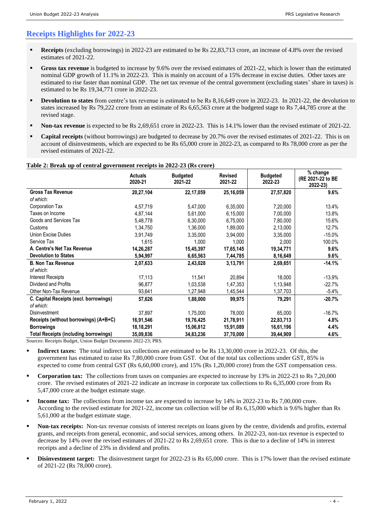### **Receipts Highlights for 2022-23**

- **Receipts** (excluding borrowings) in 2022-23 are estimated to be Rs 22,83,713 crore, an increase of 4.8% over the revised estimates of 2021-22.
- Gross tax revenue is budgeted to increase by 9.6% over the revised estimates of 2021-22, which is lower than the estimated nominal GDP growth of 11.1% in 2022-23. This is mainly on account of a 15% decrease in excise duties. Other taxes are estimated to rise faster than nominal GDP. The net tax revenue of the central government (excluding states' share in taxes) is estimated to be Rs 19,34,771 crore in 2022-23.
- **Devolution to states** from centre's tax revenue is estimated to be Rs 8,16,649 crore in 2022-23. In 2021-22, the devolution to states increased by Rs 79,222 crore from an estimate of Rs 6,65,563 crore at the budgeted stage to Rs 7,44,785 crore at the revised stage.
- **Non-tax revenue** is expected to be Rs 2,69,651 crore in 2022-23. This is 14.1% lower than the revised estimate of 2021-22.
- **Capital receipts** (without borrowings) are budgeted to decrease by 20.7% over the revised estimates of 2021-22. This is on account of disinvestments, which are expected to be Rs 65,000 crore in 2022-23, as compared to Rs 78,000 crore as per the revised estimates of 2021-22.

|                                              | <b>Actuals</b><br>2020-21 | <b>Budgeted</b><br>2021-22 | <b>Revised</b><br>2021-22 | <b>Budgeted</b><br>2022-23 | % change<br>(RE 2021-22 to BE<br>2022-23) |
|----------------------------------------------|---------------------------|----------------------------|---------------------------|----------------------------|-------------------------------------------|
| <b>Gross Tax Revenue</b>                     | 20,27,104                 | 22,17,059                  | 25,16,059                 | 27,57,820                  | 9.6%                                      |
| of which:                                    |                           |                            |                           |                            |                                           |
| Corporation Tax                              | 4,57,719                  | 5,47,000                   | 6,35,000                  | 7,20,000                   | 13.4%                                     |
| Taxes on Income                              | 4,87,144                  | 5,61,000                   | 6,15,000                  | 7,00,000                   | 13.8%                                     |
| Goods and Services Tax                       | 5,48,778                  | 6,30,000                   | 6,75,000                  | 7,80,000                   | 15.6%                                     |
| Customs                                      | 1,34,750                  | 1,36,000                   | 1,89,000                  | 2,13,000                   | 12.7%                                     |
| Union Excise Duties                          | 3,91,749                  | 3,35,000                   | 3,94,000                  | 3,35,000                   | $-15.0%$                                  |
| Service Tax                                  | 1,615                     | 1,000                      | 1,000                     | 2,000                      | 100.0%                                    |
| A. Centre's Net Tax Revenue                  | 14,26,287                 | 15,45,397                  | 17,65,145                 | 19,34,771                  | 9.6%                                      |
| <b>Devolution to States</b>                  | 5,94,997                  | 6,65,563                   | 7,44,785                  | 8,16,649                   | 9.6%                                      |
| <b>B. Non Tax Revenue</b>                    | 2,07,633                  | 2,43,028                   | 3,13,791                  | 2,69,651                   | $-14.1%$                                  |
| of which:                                    |                           |                            |                           |                            |                                           |
| <b>Interest Receipts</b>                     | 17,113                    | 11,541                     | 20,894                    | 18,000                     | $-13.9%$                                  |
| Dividend and Profits                         | 96,877                    | 1,03,538                   | 1,47,353                  | 1,13,948                   | $-22.7%$                                  |
| Other Non-Tax Revenue                        | 93,641                    | 1,27,948                   | 1,45,544                  | 1,37,703                   | $-5.4%$                                   |
| C. Capital Receipts (excl. borrowings)       | 57,626                    | 1,88,000                   | 99,975                    | 79,291                     | $-20.7%$                                  |
| of which:                                    |                           |                            |                           |                            |                                           |
| <b>Disinvestment</b>                         | 37,897                    | 1,75,000                   | 78,000                    | 65,000                     | $-16.7%$                                  |
| Receipts (without borrowings) (A+B+C)        | 16,91,546                 | 19,76,425                  | 21,78,911                 | 22,83,713                  | 4.8%                                      |
| <b>Borrowings</b>                            | 18,18,291                 | 15,06,812                  | 15,91,089                 | 16,61,196                  | 4.4%                                      |
| <b>Total Receipts (including borrowings)</b> | 35,09,836                 | 34,83,236                  | 37,70,000                 | 39,44,909                  | 4.6%                                      |

**Table 2: Break up of central government receipts in 2022-23 (Rs crore)**

Sources: Receipts Budget, Union Budget Documents 2022-23; PRS.

- **Indirect taxes:** The total indirect tax collections are estimated to be Rs 13,30,000 crore in 2022-23. Of this, the government has estimated to raise Rs 7,80,000 crore from GST. Out of the total tax collections under GST, 85% is expected to come from central GST (Rs 6,60,000 crore), and 15% (Rs 1,20,000 crore) from the GST compensation cess.
- **Corporation tax:** The collections from taxes on companies are expected to increase by 13% in 2022-23 to Rs 7,20,000 crore. The revised estimates of 2021-22 indicate an increase in corporate tax collections to Rs 6,35,000 crore from Rs 5,47,000 crore at the budget estimate stage.
- **Income tax:** The collections from income tax are expected to increase by 14% in 2022-23 to Rs 7,00,000 crore. According to the revised estimate for 2021-22, income tax collection will be of Rs 6,15,000 which is 9.6% higher than Rs 5,61,000 at the budget estimate stage.
- Non-tax receipts: Non-tax revenue consists of interest receipts on loans given by the centre, dividends and profits, external grants, and receipts from general, economic, and social services, among others. In 2022-23, non-tax revenue is expected to decrease by 14% over the revised estimates of 2021-22 to Rs 2,69,651 crore. This is due to a decline of 14% in interest receipts and a decline of 23% in dividend and profits.
- **Disinvestment target:** The disinvestment target for 2022-23 is Rs 65,000 crore. This is 17% lower than the revised estimate of 2021-22 (Rs 78,000 crore).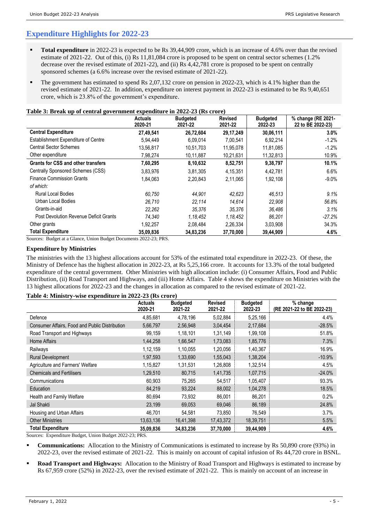## **Expenditure Highlights for 2022-23**

- **Total expenditure** in 2022-23 is expected to be Rs 39,44,909 crore, which is an increase of 4.6% over than the revised estimate of 2021-22. Out of this, (i) Rs 11,81,084 crore is proposed to be spent on central sector schemes (1.2% decrease over the revised estimate of 2021-22), and (ii) Rs 4,42,781 crore is proposed to be spent on centrally sponsored schemes (a 6.6% increase over the revised estimate of 2021-22).
- The government has estimated to spend Rs 2,07,132 crore on pension in 2022-23, which is 4.1% higher than the revised estimate of 2021-22. In addition, expenditure on interest payment in 2022-23 is estimated to be Rs 9,40,651 crore, which is 23.8% of the government's expenditure.

#### **Table 3: Break up of central government expenditure in 2022-23 (Rs crore)**

|                                            | <b>Actuals</b><br>2020-21 | <b>Budgeted</b><br>2021-22 | <b>Revised</b><br>2021-22 | <b>Budgeted</b><br>2022-23 | % change (RE 2021-<br>22 to BE 2022-23) |
|--------------------------------------------|---------------------------|----------------------------|---------------------------|----------------------------|-----------------------------------------|
| <b>Central Expenditure</b>                 | 27,49,541                 | 26,72,604                  | 29, 17, 249               | 30,06,111                  | 3.0%                                    |
| <b>Establishment Expenditure of Centre</b> | 5.94.449                  | 6.09.014                   | 7,00,541                  | 6,92,214                   | $-1.2%$                                 |
| <b>Central Sector Schemes</b>              | 13,56,817                 | 10,51,703                  | 11,95,078                 | 11,81,085                  | $-1.2%$                                 |
| Other expenditure                          | 7,98,274                  | 10,11,887                  | 10,21,631                 | 11,32,813                  | 10.9%                                   |
| <b>Grants for CSS and other transfers</b>  | 7,60,295                  | 8,10,632                   | 8,52,751                  | 9,38,797                   | 10.1%                                   |
| Centrally Sponsored Schemes (CSS)          | 3,83,976                  | 3.81.305                   | 4,15,351                  | 4,42,781                   | 6.6%                                    |
| <b>Finance Commission Grants</b>           | 1,84,063                  | 2,20,843                   | 2,11,065                  | 1,92,108                   | $-9.0\%$                                |
| of which:                                  |                           |                            |                           |                            |                                         |
| Rural Local Bodies                         | 60.750                    | 44.901                     | 42,623                    | 46,513                     | 9.1%                                    |
| Urban Local Bodies                         | 26.710                    | 22,114                     | 14,614                    | 22,908                     | 56.8%                                   |
| Grants-in-aid                              | 22.262                    | 35.376                     | 35.376                    | 36,486                     | 3.1%                                    |
| Post Devolution Revenue Deficit Grants     | 74.340                    | 1,18,452                   | 1,18,452                  | 86,201                     | $-27.2%$                                |
| Other grants                               | 1,92,257                  | 2,08,484                   | 2,26,334                  | 3,03,908                   | 34.3%                                   |
| <b>Total Expenditure</b>                   | 35,09,836                 | 34,83,236                  | 37,70,000                 | 39,44,909                  | 4.6%                                    |

Sources: Budget at a Glance, Union Budget Documents 2022-23; PRS.

#### **Expenditure by Ministries**

The ministries with the 13 highest allocations account for 53% of the estimated total expenditure in 2022-23. Of these, the Ministry of Defence has the highest allocation in 2022-23, at Rs 5,25,166 crore. It accounts for 13.3% of the total budgeted expenditure of the central government. Other Ministries with high allocation include: (i) Consumer Affairs, Food and Public Distribution, (ii) Road Transport and Highways, and (iii) Home Affairs. Table 4 shows the expenditure on Ministries with the 13 highest allocations for 2022-23 and the changes in allocation as compared to the revised estimate of 2021-22.

#### **Table 4: Ministry-wise expenditure in 2022-23 (Rs crore)**

|                                                | <b>Actuals</b><br>2020-21 | <b>Budgeted</b><br>2021-22 | <b>Revised</b><br>2021-22 | <b>Budgeted</b><br>2022-23 | $%$ change<br>(RE 2021-22 to BE 2022-23) |
|------------------------------------------------|---------------------------|----------------------------|---------------------------|----------------------------|------------------------------------------|
| Defence                                        | 4,85,681                  | 4,78,196                   | 5,02,884                  | 5,25,166                   | 4.4%                                     |
| Consumer Affairs, Food and Public Distribution | 5,66,797                  | 2,56,948                   | 3,04,454                  | 2,17,684                   | $-28.5%$                                 |
| Road Transport and Highways                    | 99,159                    | 1,18,101                   | 1,31,149                  | 1,99,108                   | 51.8%                                    |
| Home Affairs                                   | 1,44,258                  | 1,66,547                   | 1,73,083                  | 1,85,776                   | 7.3%                                     |
| Railways                                       | 1, 12, 159                | 1,10,055                   | 1,20,056                  | 1,40,367                   | 16.9%                                    |
| <b>Rural Development</b>                       | 1,97,593                  | 1,33,690                   | 1,55,043                  | 1,38,204                   | $-10.9%$                                 |
| Agriculture and Farmers' Welfare               | 1,15,827                  | 1,31,531                   | 1,26,808                  | 1,32,514                   | 4.5%                                     |
| <b>Chemicals and Fertilisers</b>               | 1,29,510                  | 80,715                     | 1,41,735                  | 1,07,715                   | $-24.0%$                                 |
| Communications                                 | 60,903                    | 75,265                     | 54,517                    | 1,05,407                   | 93.3%                                    |
| Education                                      | 84,219                    | 93,224                     | 88,002                    | 1,04,278                   | 18.5%                                    |
| Health and Family Welfare                      | 80,694                    | 73,932                     | 86,001                    | 86,201                     | 0.2%                                     |
| Jal Shakti                                     | 23,199                    | 69,053                     | 69,046                    | 86,189                     | 24.8%                                    |
| Housing and Urban Affairs                      | 46,701                    | 54,581                     | 73,850                    | 76,549                     | 3.7%                                     |
| <b>Other Ministries</b>                        | 13,63,136                 | 16,41,398                  | 17,43,372                 | 18,39,751                  | 5.5%                                     |
| <b>Total Expenditure</b>                       | 35,09,836                 | 34,83,236                  | 37,70,000                 | 39,44,909                  | 4.6%                                     |

Sources: Expenditure Budget, Union Budget 2022-23; PRS.

- **Communications:** Allocation to the Ministry of Communications is estimated to increase by Rs 50,890 crore (93%) in 2022-23, over the revised estimate of 2021-22. This is mainly on account of capital infusion of Rs 44,720 crore in BSNL.
- **Road Transport and Highways:** Allocation to the Ministry of Road Transport and Highways is estimated to increase by Rs 67,959 crore (52%) in 2022-23, over the revised estimate of 2021-22. This is mainly on account of an increase in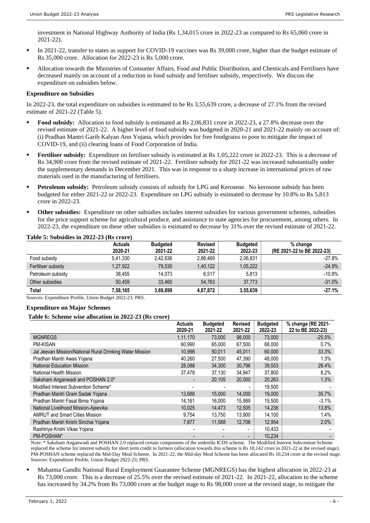investment in National Highway Authority of India (Rs 1,34,015 crore in 2022-23 as compared to Rs 65,060 crore in 2021-22).

- In 2021-22, transfer to states as support for COVID-19 vaccines was Rs 39,000 crore, higher than the budget estimate of Rs 35,000 crore. Allocation for 2022-23 is Rs 5,000 crore.
- Allocation towards the Ministries of Consumer Affairs, Food and Public Distribution, and Chemicals and Fertilisers have decreased mainly on account of a reduction in food subsidy and fertiliser subsidy, respectively. We discuss the expenditure on subsidies below.

#### **Expenditure on Subsidies**

In 2022-23, the total expenditure on subsidies is estimated to be Rs 3,55,639 crore, a decrease of 27.1% from the revised estimate of 2021-22 (Table 5).

- **• Food subsidy:** Allocation to food subsidy is estimated at Rs 2,06,831 crore in 2022-23, a 27.8% decrease over the revised estimate of 2021-22. A higher level of food subsidy was budgeted in 2020-21 and 2021-22 mainly on account of: (i) Pradhan Mantri Garib Kalyan Ann Yojana, which provides for free foodgrains to poor to mitigate the impact of COVID-19, and (ii) clearing loans of Food Corporation of India.
- **Fertiliser subsidy:** Expenditure on fertiliser subsidy is estimated at Rs 1,05,222 crore in 2022-23. This is a decrease of Rs 34,900 crore from the revised estimate of 2021-22. Fertiliser subsidy for 2021-22 was increased substantially under the supplementary demands in December 2021. This was in response to a sharp increase in international prices of raw materials used in the manufacturing of fertilisers.
- Petroleum subsidy: Petroleum subsidy consists of subsidy for LPG and Kerosene. No kerosone subsidy has been budgeted for either 2021-22 or 2022-23. Expenditure on LPG subsidy is estimated to decrease by 10.8% to Rs 5,813 crore in 2022-23.
- **Other subsidies:** Expenditure on other subsidies includes interest subsidies for various government schemes, subsidies for the price support scheme for agricultural produce, and assistance to state agencies for procurement, among others. In 2022-23, the expenditure on these other subsidies is estimated to decrease by 31% over the revised estimate of 2021-22.

**Total 7,58,165 3,69,899 4,87,872 3,55,639 -27.1%**

| <b>Actuals</b><br>2020-21 | <b>Budgeted</b><br>2021-22               | <b>Revised</b><br>2021-22 | <b>Budgeted</b><br>2022-23 | % change<br>(RE 2021-22 to BE 2022-23) |
|---------------------------|------------------------------------------|---------------------------|----------------------------|----------------------------------------|
| 5,41,330                  | 2.42.836                                 | 2.86.469                  | 2,06,831                   | $-27.8%$                               |
| 1,27,922                  | 79,530                                   | 1,40,122                  | 1,05,222                   | $-24.9%$                               |
| 38.455                    | 14.073                                   | 6.517                     | 5.813                      | $-10.8%$                               |
| 50.459                    | 33.460                                   | 54,763                    | 37,773                     | $-31.0%$                               |
|                           | Table 5: Subsidies in 2022-23 (Rs crore) |                           |                            |                                        |

Sources: Expenditure Profile, Union Budget 2022-23; PRS.

#### **Expenditure on Major Schemes**

#### **Table 6: Scheme wise allocation in 2022-23 (Rs crore)**

|                                                          | <b>Actuals</b><br>2020-21 | <b>Budgeted</b><br>2021-22 | <b>Revised</b><br>2021-22 | <b>Budgeted</b><br>2022-23 | % change (RE 2021-<br>22 to BE 2022-23) |
|----------------------------------------------------------|---------------------------|----------------------------|---------------------------|----------------------------|-----------------------------------------|
| <b>MGNREGS</b>                                           | 1,11,170                  | 73,000                     | 98,000                    | 73,000                     | $-25.5%$                                |
| <b>PM-KISAN</b>                                          | 60,990                    | 65,000                     | 67,500                    | 68,000                     | 0.7%                                    |
| Jal Jeevan Mission/National Rural Drinking Water Mission | 10,998                    | 50,011                     | 45,011                    | 60,000                     | 33.3%                                   |
| Pradhan Mantri Awas Yojana                               | 40.260                    | 27,500                     | 47,390                    | 48.000                     | 1.3%                                    |
| <b>National Education Mission</b>                        | 28,088                    | 34,300                     | 30,796                    | 39,553                     | 28.4%                                   |
| National Health Mission                                  | 37.478                    | 37,130                     | 34,947                    | 37,800                     | 8.2%                                    |
| Saksham Anganwadi and POSHAN 2.0*                        |                           | 20,105                     | 20,000                    | 20,263                     | 1.3%                                    |
| Modified Interest Subvention Scheme*                     |                           |                            |                           | 19,500                     |                                         |
| Pradhan Mantri Gram Sadak Yojana                         | 13,688                    | 15,000                     | 14,000                    | 19,000                     | 35.7%                                   |
| Pradhan Mantri Fasal Bima Yojana                         | 14,161                    | 16,000                     | 15,989                    | 15,500                     | $-3.1%$                                 |
| National Livelihood Mission-Ajeevika                     | 10.025                    | 14,473                     | 12,505                    | 14,236                     | 13.8%                                   |
| <b>AMRUT and Smart Cities Mission</b>                    | 9,754                     | 13,750                     | 13,900                    | 14,100                     | 1.4%                                    |
| Pradhan Mantri Krishi Sinchai Yojana                     | 7,877                     | 11.588                     | 12.706                    | 12,954                     | 2.0%                                    |
| Rashtriya Krishi Vikas Yojana                            |                           |                            | $\overline{\phantom{0}}$  | 10,433                     |                                         |
| PM-POSHAN*                                               |                           |                            | $\overline{\phantom{a}}$  | 10,234                     |                                         |

Note: \* Saksham Anganwadi and POSHAN 2.0 replaced certain components of the umbrella ICDS scheme. The Modified Interest Subvention Scheme replaced the scheme for interest subsidy for short term credit to farmers (allocation towards this scheme is Rs 18,142 crore in 2021-22 at the revised stage). PM-POSHAN scheme replaced the Mid-Day Meal Scheme. In 2021-22, the Mid-day Meal Scheme has been allocated Rs 10,234 crore at the revised stage. Sources: Expenditure Profile, Union Budget 2022-23; PRS.

▪ Mahatma Gandhi National Rural Employment Guarantee Scheme (MGNREGS) has the highest allocation in 2022-23 at Rs 73,000 crore. This is a decrease of 25.5% over the revised estimate of 2021-22. In 2021-22, allocation to the scheme has increased by 34.2% from Rs 73,000 crore at the budget stage to Rs 98,000 crore at the revised stage, to mitigate the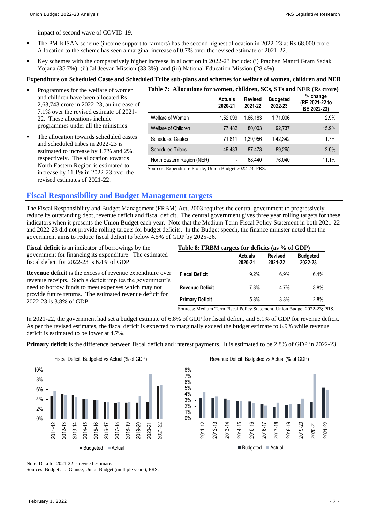impact of second wave of COVID-19.

- **•** The PM-KISAN scheme (income support to farmers) has the second highest allocation in 2022-23 at Rs 68,000 crore. Allocation to the scheme has seen a marginal increase of 0.7% over the revised estimate of 2021-22.
- Key schemes with the comparatively higher increase in allocation in 2022-23 include: (i) Pradhan Mantri Gram Sadak Yojana (35.7%), (ii) Jal Jeevan Mission (33.3%), and (iii) National Education Mission (28.4%).

### **Expenditure on Scheduled Caste and Scheduled Tribe sub-plans and schemes for welfare of women, children and NER**

- Programmes for the welfare of women and children have been allocated Rs 2,63,743 crore in 2022-23, an increase of 7.1% over the revised estimate of 2021- 22. These allocations include programmes under all the ministries.
- The allocation towards scheduled castes and scheduled tribes in 2022-23 is estimated to increase by 1.7% and 2%, respectively. The allocation towards North Eastern Region is estimated to increase by 11.1% in 2022-23 over the revised estimates of 2021-22.

| Table 7: Allocations for women, children, SCs, STs and NER (Rs crore) |                           |                           |                            |                                           |  |  |  |
|-----------------------------------------------------------------------|---------------------------|---------------------------|----------------------------|-------------------------------------------|--|--|--|
|                                                                       | <b>Actuals</b><br>2020-21 | <b>Revised</b><br>2021-22 | <b>Budgeted</b><br>2022-23 | % change<br>(RE 2021-22 to<br>BE 2022-23) |  |  |  |
| Welfare of Women                                                      | 1.52.099                  | 1.66.183                  | 1,71,006                   | 2.9%                                      |  |  |  |
| <b>Welfare of Children</b>                                            | 77,482                    | 80.003                    | 92,737                     | 15.9%                                     |  |  |  |
| <b>Scheduled Castes</b>                                               | 71.811                    | 1.39.956                  | 1.42.342                   | 1.7%                                      |  |  |  |
| <b>Scheduled Tribes</b>                                               | 49.433                    | 87.473                    | 89,265                     | 2.0%                                      |  |  |  |
| North Eastern Region (NER)                                            |                           | 68,440                    | 76,040                     | 11.1%                                     |  |  |  |

Sources: Expenditure Profile, Union Budget 2022-23; PRS.

### **Fiscal Responsibility and Budget Management targets**

The Fiscal Responsibility and Budget Management (FRBM) Act, 2003 requires the central government to progressively reduce its outstanding debt, revenue deficit and fiscal deficit. The central government gives three year rolling targets for these indicators when it presents the Union Budget each year. Note that the Medium Term Fiscal Policy Statement in both 2021-22 and 2022-23 did not provide rolling targets for budget deficits. In the Budget speech, the finance minister noted that the government aims to reduce fiscal deficit to below 4.5% of GDP by 2025-26.

**Fiscal deficit** is an indicator of borrowings by the government for financing its expenditure. The estimated fiscal deficit for 2022-23 is 6.4% of GDP.

**Revenue deficit** is the excess of revenue expenditure over revenue receipts. Such a deficit implies the government's need to borrow funds to meet expenses which may not provide future returns. The estimated revenue deficit for 2022-23 is 3.8% of GDP.

| Table 8: FRBM targets for deficits (as % of GDP) |
|--------------------------------------------------|
|--------------------------------------------------|

|                        | <b>Actuals</b><br>2020-21 | <b>Revised</b><br>2021-22 | <b>Budgeted</b><br>2022-23 |
|------------------------|---------------------------|---------------------------|----------------------------|
| <b>Fiscal Deficit</b>  | 9.2%                      | 6.9%                      | 6.4%                       |
| <b>Revenue Deficit</b> | 7.3%                      | 4.7%                      | 3.8%                       |
| <b>Primary Deficit</b> | 5.8%                      | 3.3%                      | 2.8%                       |

Sources: Medium Term Fiscal Policy Statement, Union Budget 2022-23; PRS.

In 2021-22, the government had set a budget estimate of 6.8% of GDP for fiscal deficit, and 5.1% of GDP for revenue deficit. As per the revised estimates, the fiscal deficit is expected to marginally exceed the budget estimate to 6.9% while revenue deficit is estimated to be lower at 4.7%.

**Primary deficit** is the difference between fiscal deficit and interest payments. It is estimated to be 2.8% of GDP in 2022-23.



Revenue Deficit: Budgeted vs Actual (% of GDP)



Note: Data for 2021-22 is revised estimate.

Sources: Budget at a Glance, Union Budget (multiple years); PRS.